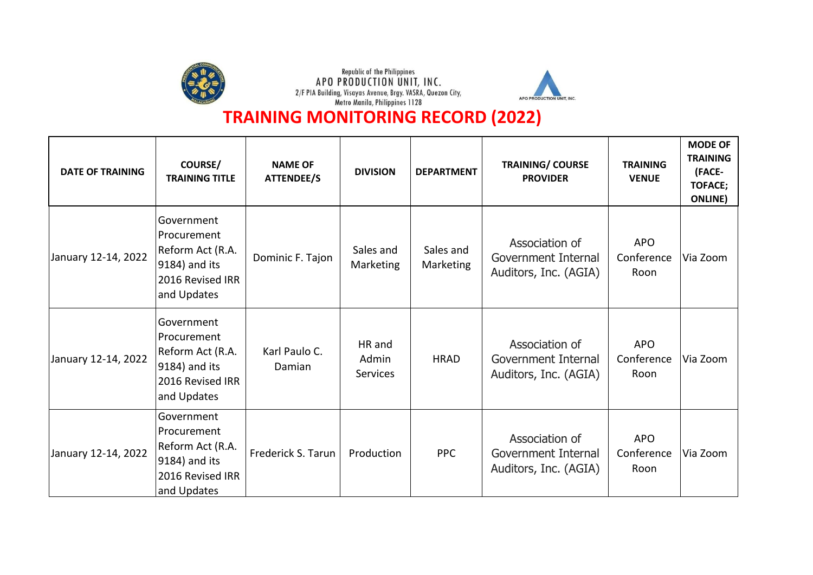





| <b>DATE OF TRAINING</b> | <b>COURSE/</b><br><b>TRAINING TITLE</b>                                                               | <b>NAME OF</b><br><b>ATTENDEE/S</b> | <b>DIVISION</b>                    | <b>DEPARTMENT</b>      | <b>TRAINING/ COURSE</b><br><b>PROVIDER</b>                     | <b>TRAINING</b><br><b>VENUE</b>  | <b>MODE OF</b><br><b>TRAINING</b><br>(FACE-<br><b>TOFACE;</b><br><b>ONLINE</b> ) |
|-------------------------|-------------------------------------------------------------------------------------------------------|-------------------------------------|------------------------------------|------------------------|----------------------------------------------------------------|----------------------------------|----------------------------------------------------------------------------------|
| January 12-14, 2022     | Government<br>Procurement<br>Reform Act (R.A.<br>9184) and its<br>2016 Revised IRR<br>and Updates     | Dominic F. Tajon                    | Sales and<br>Marketing             | Sales and<br>Marketing | Association of<br>Government Internal<br>Auditors, Inc. (AGIA) | <b>APO</b><br>Conference<br>Roon | Via Zoom                                                                         |
| January 12-14, 2022     | Government<br>Procurement<br> Reform Act (R.A.<br>$9184$ ) and its<br>2016 Revised IRR<br>and Updates | Karl Paulo C.<br>Damian             | HR and<br>Admin<br><b>Services</b> | <b>HRAD</b>            | Association of<br>Government Internal<br>Auditors, Inc. (AGIA) | <b>APO</b><br>Conference<br>Roon | Via Zoom                                                                         |
| January 12-14, 2022     | Government<br>Procurement<br>Reform Act (R.A.<br>$ 9184)$ and its<br>2016 Revised IRR<br>and Updates  | Frederick S. Tarun                  | Production                         | <b>PPC</b>             | Association of<br>Government Internal<br>Auditors, Inc. (AGIA) | <b>APO</b><br>Conference<br>Roon | Via Zoom                                                                         |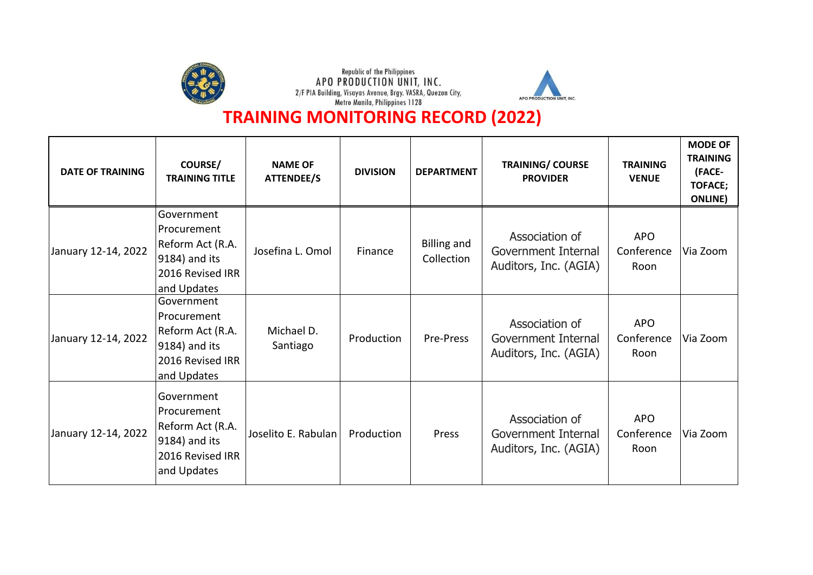





| <b>DATE OF TRAINING</b> | <b>COURSE/</b><br><b>TRAINING TITLE</b>                                                                | <b>NAME OF</b><br><b>ATTENDEE/S</b> | <b>DIVISION</b> | <b>DEPARTMENT</b>                | <b>TRAINING/ COURSE</b><br><b>PROVIDER</b>                     | <b>TRAINING</b><br><b>VENUE</b>  | <b>MODE OF</b><br><b>TRAINING</b><br>(FACE-<br><b>TOFACE;</b><br><b>ONLINE</b> ) |
|-------------------------|--------------------------------------------------------------------------------------------------------|-------------------------------------|-----------------|----------------------------------|----------------------------------------------------------------|----------------------------------|----------------------------------------------------------------------------------|
| January 12-14, 2022     | Government<br>Procurement<br>Reform Act (R.A.<br>9184) and its<br>2016 Revised IRR<br>and Updates      | Josefina L. Omol                    | Finance         | <b>Billing and</b><br>Collection | Association of<br>Government Internal<br>Auditors, Inc. (AGIA) | <b>APO</b><br>Conference<br>Roon | Via Zoom                                                                         |
| January 12-14, 2022     | Government<br>Procurement<br>Reform Act (R.A.<br>$ 9184)$ and its<br>2016 Revised IRR<br>and Updates   | Michael D.<br>Santiago              | Production      | Pre-Press                        | Association of<br>Government Internal<br>Auditors, Inc. (AGIA) | <b>APO</b><br>Conference<br>Roon | Via Zoom                                                                         |
| January 12-14, 2022     | Government<br> Procurement <br>Reform Act (R.A.<br>$ 9184)$ and its<br>2016 Revised IRR<br>and Updates | Joselito E. Rabulan                 | Production      | Press                            | Association of<br>Government Internal<br>Auditors, Inc. (AGIA) | <b>APO</b><br>Conference<br>Roon | Via Zoom                                                                         |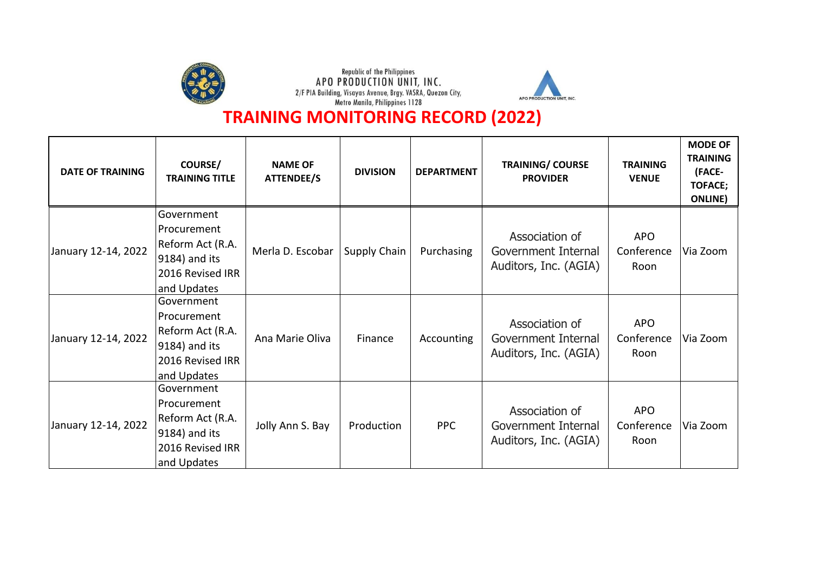





| <b>DATE OF TRAINING</b> | <b>COURSE/</b><br><b>TRAINING TITLE</b>                                                              | <b>NAME OF</b><br><b>ATTENDEE/S</b> | <b>DIVISION</b>     | <b>DEPARTMENT</b> | <b>TRAINING/ COURSE</b><br><b>PROVIDER</b>                     | <b>TRAINING</b><br><b>VENUE</b>  | <b>MODE OF</b><br><b>TRAINING</b><br>(FACE-<br><b>TOFACE;</b><br><b>ONLINE</b> ) |
|-------------------------|------------------------------------------------------------------------------------------------------|-------------------------------------|---------------------|-------------------|----------------------------------------------------------------|----------------------------------|----------------------------------------------------------------------------------|
| January 12-14, 2022     | Government<br>Procurement<br>Reform Act (R.A.<br>$ 9184)$ and its<br>2016 Revised IRR<br>and Updates | Merla D. Escobar                    | <b>Supply Chain</b> | Purchasing        | Association of<br>Government Internal<br>Auditors, Inc. (AGIA) | <b>APO</b><br>Conference<br>Roon | Via Zoom                                                                         |
| January 12-14, 2022     | Government<br> Procurement<br>Reform Act (R.A.<br>9184) and its<br>2016 Revised IRR<br>and Updates   | Ana Marie Oliva                     | Finance             | Accounting        | Association of<br>Government Internal<br>Auditors, Inc. (AGIA) | <b>APO</b><br>Conference<br>Roon | Via Zoom                                                                         |
| January 12-14, 2022     | Government<br> Procurement<br>Reform Act (R.A.<br>9184) and its<br>2016 Revised IRR<br>and Updates   | Jolly Ann S. Bay                    | Production          | <b>PPC</b>        | Association of<br>Government Internal<br>Auditors, Inc. (AGIA) | <b>APO</b><br>Conference<br>Roon | Via Zoom                                                                         |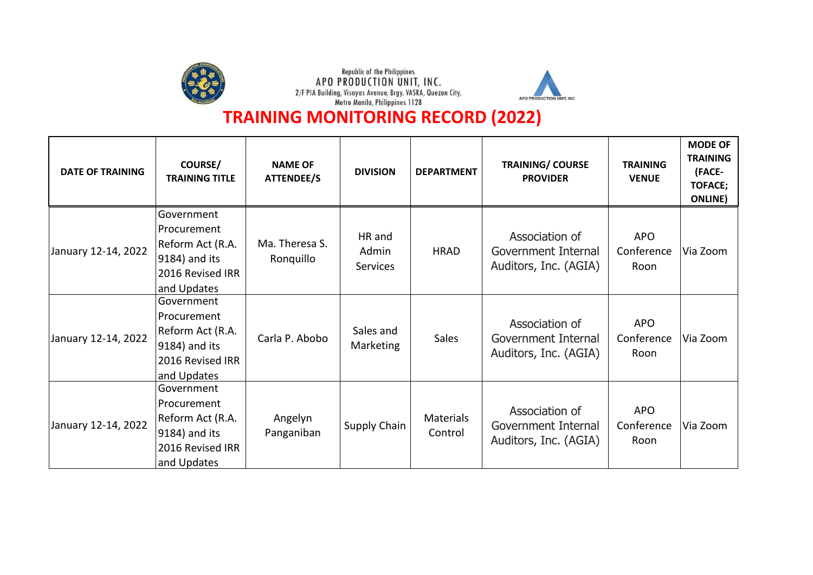





| <b>DATE OF TRAINING</b> | <b>COURSE/</b><br><b>TRAINING TITLE</b>                                                              | <b>NAME OF</b><br><b>ATTENDEE/S</b> | <b>DIVISION</b>                    | <b>DEPARTMENT</b>           | <b>TRAINING/ COURSE</b><br><b>PROVIDER</b>                     | <b>TRAINING</b><br><b>VENUE</b>  | <b>MODE OF</b><br><b>TRAINING</b><br>(FACE-<br><b>TOFACE;</b><br><b>ONLINE</b> ) |
|-------------------------|------------------------------------------------------------------------------------------------------|-------------------------------------|------------------------------------|-----------------------------|----------------------------------------------------------------|----------------------------------|----------------------------------------------------------------------------------|
| January 12-14, 2022     | Government<br>Procurement<br>Reform Act (R.A.<br>$ 9184)$ and its<br>2016 Revised IRR<br>and Updates | Ma. Theresa S.<br>Ronquillo         | HR and<br>Admin<br><b>Services</b> | <b>HRAD</b>                 | Association of<br>Government Internal<br>Auditors, Inc. (AGIA) | <b>APO</b><br>Conference<br>Roon | Via Zoom                                                                         |
| January 12-14, 2022     | Government<br>Procurement<br>Reform Act (R.A.<br>9184) and its<br>2016 Revised IRR<br>and Updates    | Carla P. Abobo                      | Sales and<br>Marketing             | <b>Sales</b>                | Association of<br>Government Internal<br>Auditors, Inc. (AGIA) | <b>APO</b><br>Conference<br>Roon | Via Zoom                                                                         |
| January 12-14, 2022     | Government<br> Procurement<br> Reform Act (R.A.<br>9184) and its<br>2016 Revised IRR<br>and Updates  | Angelyn<br>Panganiban               | Supply Chain                       | <b>Materials</b><br>Control | Association of<br>Government Internal<br>Auditors, Inc. (AGIA) | <b>APO</b><br>Conference<br>Roon | Via Zoom                                                                         |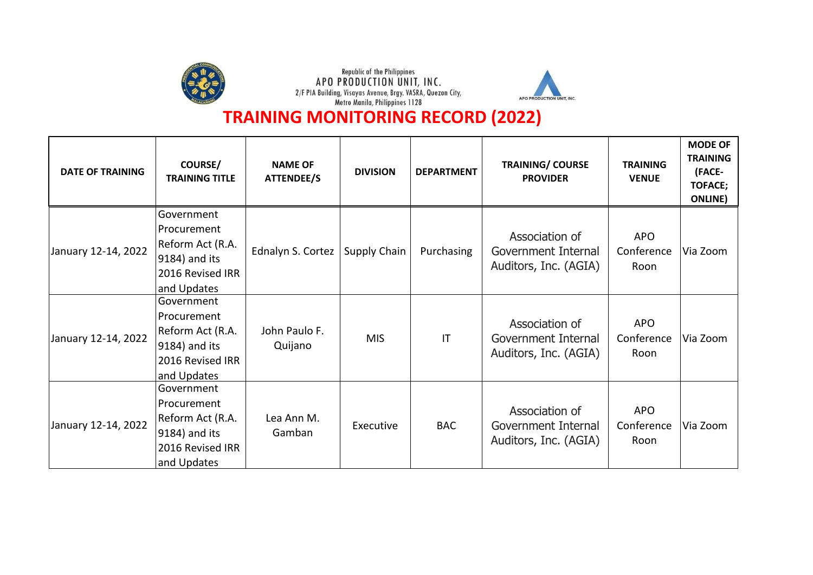





| <b>DATE OF TRAINING</b> | <b>COURSE/</b><br><b>TRAINING TITLE</b>                                                           | <b>NAME OF</b><br><b>ATTENDEE/S</b> | <b>DIVISION</b> | <b>DEPARTMENT</b>      | <b>TRAINING/ COURSE</b><br><b>PROVIDER</b>                     | <b>TRAINING</b><br><b>VENUE</b>  | <b>MODE OF</b><br><b>TRAINING</b><br>(FACE-<br><b>TOFACE;</b><br><b>ONLINE</b> ) |
|-------------------------|---------------------------------------------------------------------------------------------------|-------------------------------------|-----------------|------------------------|----------------------------------------------------------------|----------------------------------|----------------------------------------------------------------------------------|
| January 12-14, 2022     | Government<br>Procurement<br>Reform Act (R.A.<br>9184) and its<br>2016 Revised IRR<br>and Updates | Ednalyn S. Cortez                   | Supply Chain    | Purchasing             | Association of<br>Government Internal<br>Auditors, Inc. (AGIA) | <b>APO</b><br>Conference<br>Roon | Via Zoom                                                                         |
| January 12-14, 2022     | Government<br>Procurement<br>Reform Act (R.A.<br>9184) and its<br>2016 Revised IRR<br>and Updates | John Paulo F.<br>Quijano            | <b>MIS</b>      | $\mathsf{I}\mathsf{T}$ | Association of<br>Government Internal<br>Auditors, Inc. (AGIA) | <b>APO</b><br>Conference<br>Roon | Via Zoom                                                                         |
| January 12-14, 2022     | Government<br>Procurement<br>Reform Act (R.A.<br>9184) and its<br>2016 Revised IRR<br>and Updates | Lea Ann M.<br>Gamban                | Executive       | <b>BAC</b>             | Association of<br>Government Internal<br>Auditors, Inc. (AGIA) | <b>APO</b><br>Conference<br>Roon | Via Zoom                                                                         |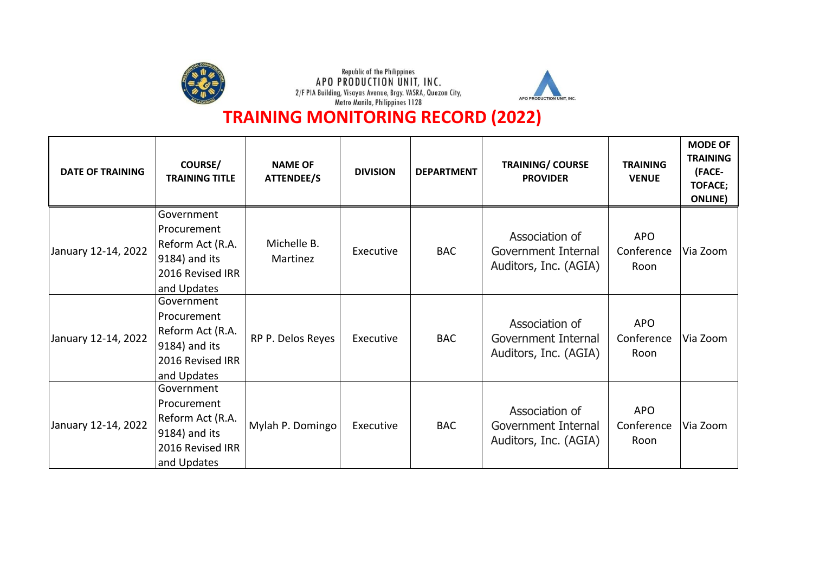





| <b>DATE OF TRAINING</b> | <b>COURSE/</b><br><b>TRAINING TITLE</b>                                                              | <b>NAME OF</b><br><b>ATTENDEE/S</b> | <b>DIVISION</b> | <b>DEPARTMENT</b> | <b>TRAINING/ COURSE</b><br><b>PROVIDER</b>                     | <b>TRAINING</b><br><b>VENUE</b>  | <b>MODE OF</b><br><b>TRAINING</b><br>(FACE-<br><b>TOFACE;</b><br><b>ONLINE</b> ) |
|-------------------------|------------------------------------------------------------------------------------------------------|-------------------------------------|-----------------|-------------------|----------------------------------------------------------------|----------------------------------|----------------------------------------------------------------------------------|
| January 12-14, 2022     | Government<br>Procurement<br>Reform Act (R.A.<br>$ 9184)$ and its<br>2016 Revised IRR<br>and Updates | Michelle B.<br>Martinez             | Executive       | <b>BAC</b>        | Association of<br>Government Internal<br>Auditors, Inc. (AGIA) | <b>APO</b><br>Conference<br>Roon | Via Zoom                                                                         |
| January 12-14, 2022     | Government<br>Procurement<br>Reform Act (R.A.<br>9184) and its<br>2016 Revised IRR<br>and Updates    | RP P. Delos Reyes                   | Executive       | <b>BAC</b>        | Association of<br>Government Internal<br>Auditors, Inc. (AGIA) | <b>APO</b><br>Conference<br>Roon | Via Zoom                                                                         |
| January 12-14, 2022     | Government<br> Procurement <br>Reform Act (R.A.<br>9184) and its<br>2016 Revised IRR<br>and Updates  | Mylah P. Domingo                    | Executive       | <b>BAC</b>        | Association of<br>Government Internal<br>Auditors, Inc. (AGIA) | <b>APO</b><br>Conference<br>Roon | Via Zoom                                                                         |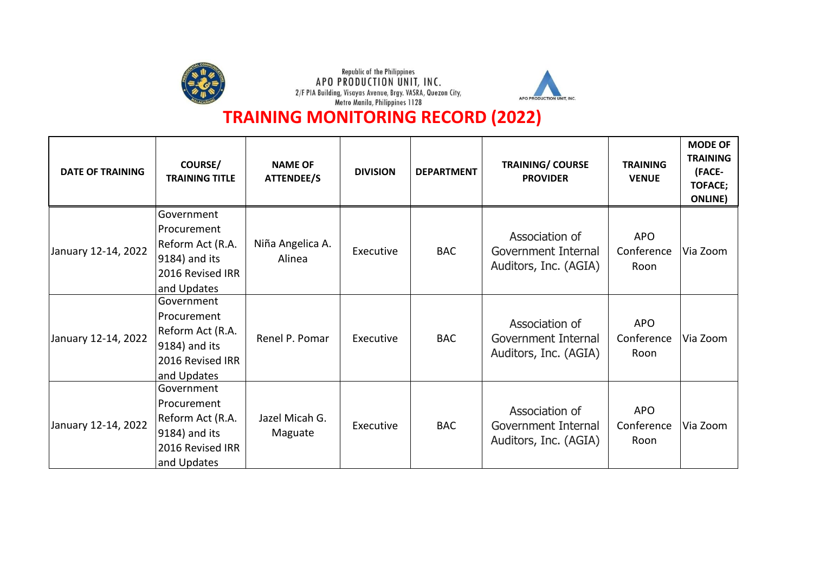





| <b>DATE OF TRAINING</b> | <b>COURSE/</b><br><b>TRAINING TITLE</b>                                                           | <b>NAME OF</b><br>ATTENDEE/S | <b>DIVISION</b> | <b>DEPARTMENT</b> | <b>TRAINING/ COURSE</b><br><b>PROVIDER</b>                     | <b>TRAINING</b><br><b>VENUE</b>  | <b>MODE OF</b><br><b>TRAINING</b><br>(FACE-<br><b>TOFACE;</b><br><b>ONLINE</b> ) |
|-------------------------|---------------------------------------------------------------------------------------------------|------------------------------|-----------------|-------------------|----------------------------------------------------------------|----------------------------------|----------------------------------------------------------------------------------|
| January 12-14, 2022     | Government<br>Procurement<br>Reform Act (R.A.<br>9184) and its<br>2016 Revised IRR<br>and Updates | Niña Angelica A.<br>Alinea   | Executive       | <b>BAC</b>        | Association of<br>Government Internal<br>Auditors, Inc. (AGIA) | <b>APO</b><br>Conference<br>Roon | Via Zoom                                                                         |
| January 12-14, 2022     | Government<br>Procurement<br>Reform Act (R.A.<br>9184) and its<br>2016 Revised IRR<br>and Updates | Renel P. Pomar               | Executive       | <b>BAC</b>        | Association of<br>Government Internal<br>Auditors, Inc. (AGIA) | <b>APO</b><br>Conference<br>Roon | Via Zoom                                                                         |
| January 12-14, 2022     | Government<br>Procurement<br>Reform Act (R.A.<br>9184) and its<br>2016 Revised IRR<br>and Updates | Jazel Micah G.<br>Maguate    | Executive       | <b>BAC</b>        | Association of<br>Government Internal<br>Auditors, Inc. (AGIA) | <b>APO</b><br>Conference<br>Roon | Via Zoom                                                                         |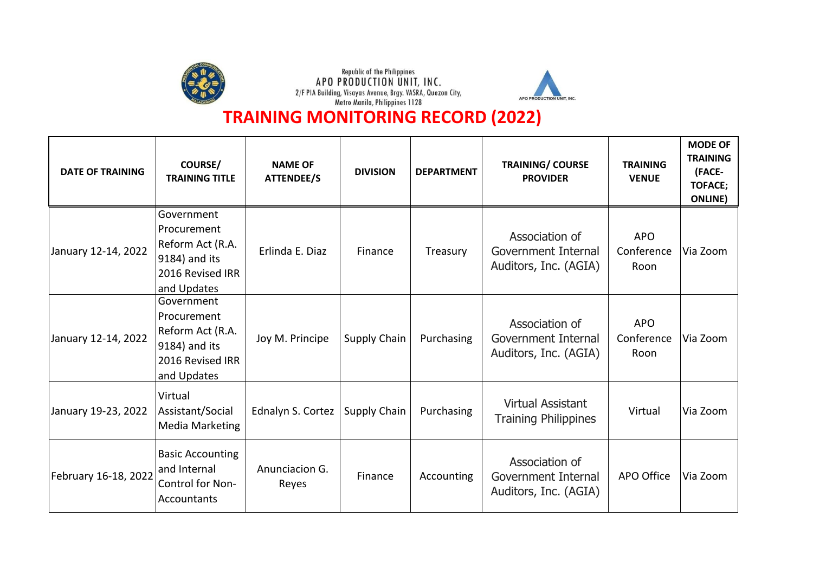





| <b>DATE OF TRAINING</b> | <b>COURSE/</b><br><b>TRAINING TITLE</b>                                                           | <b>NAME OF</b><br><b>ATTENDEE/S</b> | <b>DIVISION</b>     | <b>DEPARTMENT</b> | <b>TRAINING/ COURSE</b><br><b>PROVIDER</b>                     | <b>TRAINING</b><br><b>VENUE</b>  | <b>MODE OF</b><br><b>TRAINING</b><br>(FACE-<br><b>TOFACE;</b><br><b>ONLINE</b> ) |
|-------------------------|---------------------------------------------------------------------------------------------------|-------------------------------------|---------------------|-------------------|----------------------------------------------------------------|----------------------------------|----------------------------------------------------------------------------------|
| January 12-14, 2022     | Government<br>Procurement<br>Reform Act (R.A.<br>9184) and its<br>2016 Revised IRR<br>and Updates | Erlinda E. Diaz                     | Finance             | Treasury          | Association of<br>Government Internal<br>Auditors, Inc. (AGIA) | <b>APO</b><br>Conference<br>Roon | Via Zoom                                                                         |
| January 12-14, 2022     | Government<br>Procurement<br>Reform Act (R.A.<br>9184) and its<br>2016 Revised IRR<br>and Updates | Joy M. Principe                     | Supply Chain        | Purchasing        | Association of<br>Government Internal<br>Auditors, Inc. (AGIA) | <b>APO</b><br>Conference<br>Roon | Via Zoom                                                                         |
| January 19-23, 2022     | Virtual<br>Assistant/Social<br><b>Media Marketing</b>                                             | Ednalyn S. Cortez                   | <b>Supply Chain</b> | Purchasing        | <b>Virtual Assistant</b><br><b>Training Philippines</b>        | Virtual                          | Via Zoom                                                                         |
| February 16-18, 2022    | <b>Basic Accounting</b><br>and Internal<br>Control for Non-<br>Accountants                        | Anunciacion G.<br>Reyes             | Finance             | Accounting        | Association of<br>Government Internal<br>Auditors, Inc. (AGIA) | APO Office                       | Via Zoom                                                                         |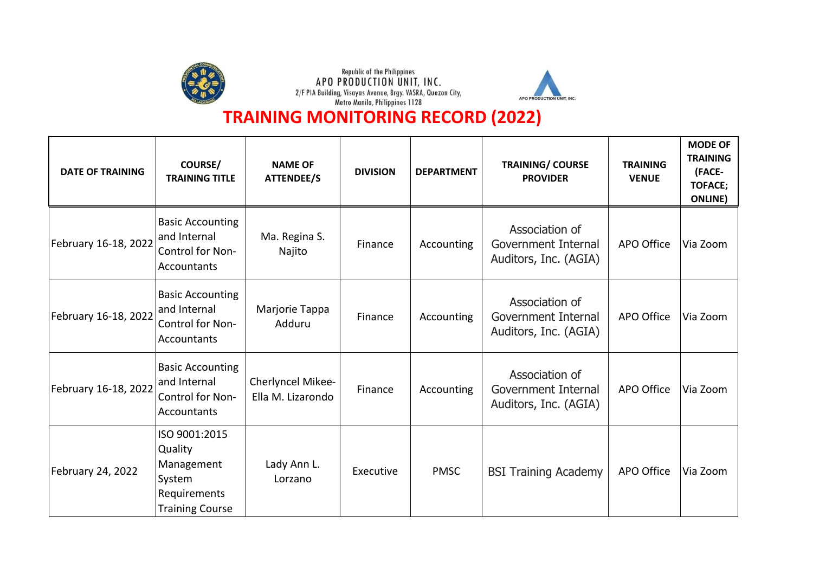





| <b>DATE OF TRAINING</b> | COURSE/<br><b>TRAINING TITLE</b>                                                           | <b>NAME OF</b><br><b>ATTENDEE/S</b>    | <b>DIVISION</b> | <b>DEPARTMENT</b> | <b>TRAINING/ COURSE</b><br><b>PROVIDER</b>                     | <b>TRAINING</b><br><b>VENUE</b> | <b>MODE OF</b><br><b>TRAINING</b><br>(FACE-<br><b>TOFACE;</b><br><b>ONLINE</b> ) |
|-------------------------|--------------------------------------------------------------------------------------------|----------------------------------------|-----------------|-------------------|----------------------------------------------------------------|---------------------------------|----------------------------------------------------------------------------------|
| February 16-18, 2022    | <b>Basic Accounting</b><br>and Internal<br>Control for Non-<br>Accountants                 | Ma. Regina S.<br>Najito                | Finance         | Accounting        | Association of<br>Government Internal<br>Auditors, Inc. (AGIA) | APO Office                      | Via Zoom                                                                         |
| February 16-18, 2022    | <b>Basic Accounting</b><br>and Internal<br>Control for Non-<br>Accountants                 | Marjorie Tappa<br>Adduru               | Finance         | Accounting        | Association of<br>Government Internal<br>Auditors, Inc. (AGIA) | APO Office                      | Via Zoom                                                                         |
| February 16-18, 2022    | <b>Basic Accounting</b><br>and Internal<br>Control for Non-<br>Accountants                 | Cherlyncel Mikee-<br>Ella M. Lizarondo | Finance         | Accounting        | Association of<br>Government Internal<br>Auditors, Inc. (AGIA) | APO Office                      | Via Zoom                                                                         |
| February 24, 2022       | ISO 9001:2015<br>Quality<br>Management<br>System<br>Requirements<br><b>Training Course</b> | Lady Ann L.<br>Lorzano                 | Executive       | <b>PMSC</b>       | <b>BSI Training Academy</b>                                    | APO Office                      | Via Zoom                                                                         |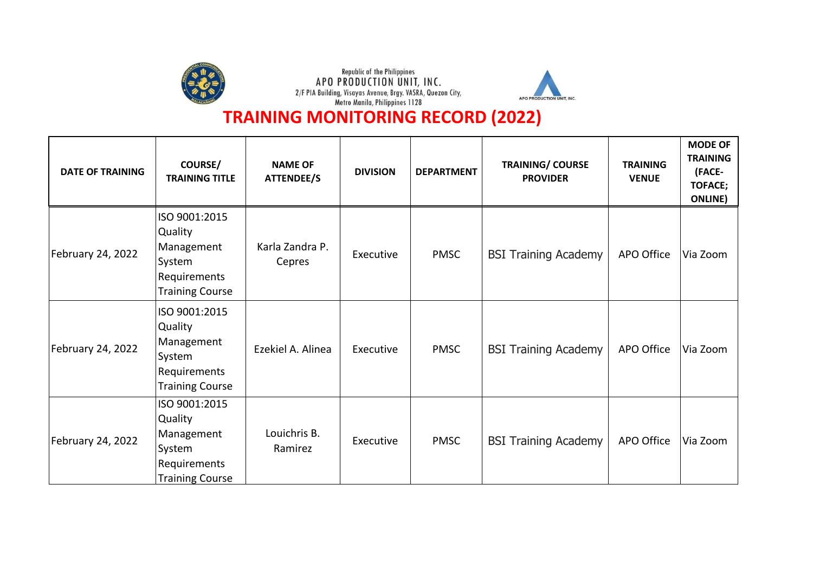





| <b>DATE OF TRAINING</b> | <b>COURSE/</b><br><b>TRAINING TITLE</b>                                                    | <b>NAME OF</b><br>ATTENDEE/S | <b>DIVISION</b> | <b>DEPARTMENT</b> | <b>TRAINING/ COURSE</b><br><b>PROVIDER</b> | <b>TRAINING</b><br><b>VENUE</b> | <b>MODE OF</b><br><b>TRAINING</b><br>(FACE-<br><b>TOFACE;</b><br><b>ONLINE</b> ) |
|-------------------------|--------------------------------------------------------------------------------------------|------------------------------|-----------------|-------------------|--------------------------------------------|---------------------------------|----------------------------------------------------------------------------------|
| February 24, 2022       | ISO 9001:2015<br>Quality<br>Management<br>System<br>Requirements<br><b>Training Course</b> | Karla Zandra P.<br>Cepres    | Executive       | <b>PMSC</b>       | <b>BSI Training Academy</b>                | APO Office                      | Via Zoom                                                                         |
| February 24, 2022       | ISO 9001:2015<br>Quality<br>Management<br>System<br>Requirements<br><b>Training Course</b> | Ezekiel A. Alinea            | Executive       | <b>PMSC</b>       | <b>BSI Training Academy</b>                | APO Office                      | Via Zoom                                                                         |
| February 24, 2022       | ISO 9001:2015<br>Quality<br>Management<br>System<br>Requirements<br><b>Training Course</b> | Louichris B.<br>Ramirez      | Executive       | <b>PMSC</b>       | <b>BSI Training Academy</b>                | APO Office                      | Via Zoom                                                                         |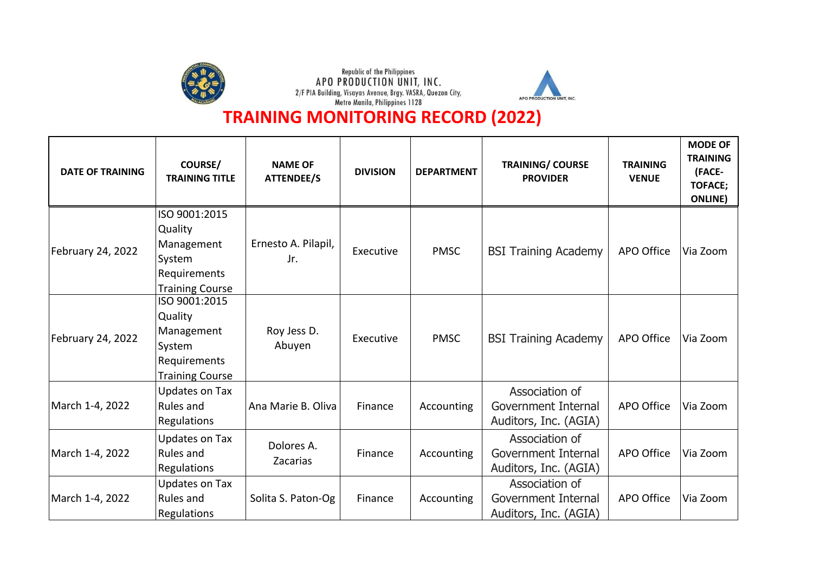





| <b>DATE OF TRAINING</b> | COURSE/<br><b>TRAINING TITLE</b>                                                           | <b>NAME OF</b><br><b>ATTENDEE/S</b> | <b>DIVISION</b> | <b>DEPARTMENT</b> | <b>TRAINING/ COURSE</b><br><b>PROVIDER</b>                     | <b>TRAINING</b><br><b>VENUE</b> | <b>MODE OF</b><br><b>TRAINING</b><br>(FACE-<br><b>TOFACE;</b><br><b>ONLINE</b> ) |
|-------------------------|--------------------------------------------------------------------------------------------|-------------------------------------|-----------------|-------------------|----------------------------------------------------------------|---------------------------------|----------------------------------------------------------------------------------|
| February 24, 2022       | ISO 9001:2015<br>Quality<br>Management<br>System<br>Requirements<br><b>Training Course</b> | Ernesto A. Pilapil,<br>Jr.          | Executive       | <b>PMSC</b>       | <b>BSI Training Academy</b>                                    | APO Office                      | Via Zoom                                                                         |
| February 24, 2022       | ISO 9001:2015<br>Quality<br>Management<br>System<br>Requirements<br><b>Training Course</b> | Roy Jess D.<br>Abuyen               | Executive       | <b>PMSC</b>       | <b>BSI Training Academy</b>                                    | APO Office                      | Via Zoom                                                                         |
| March 1-4, 2022         | Updates on Tax<br>Rules and<br>Regulations                                                 | Ana Marie B. Oliva                  | Finance         | Accounting        | Association of<br>Government Internal<br>Auditors, Inc. (AGIA) | APO Office                      | Via Zoom                                                                         |
| March 1-4, 2022         | Updates on Tax<br>Rules and<br>Regulations                                                 | Dolores A.<br>Zacarias              | Finance         | Accounting        | Association of<br>Government Internal<br>Auditors, Inc. (AGIA) | APO Office                      | Via Zoom                                                                         |
| March 1-4, 2022         | Updates on Tax<br>Rules and<br>Regulations                                                 | Solita S. Paton-Og                  | Finance         | Accounting        | Association of<br>Government Internal<br>Auditors, Inc. (AGIA) | APO Office                      | Via Zoom                                                                         |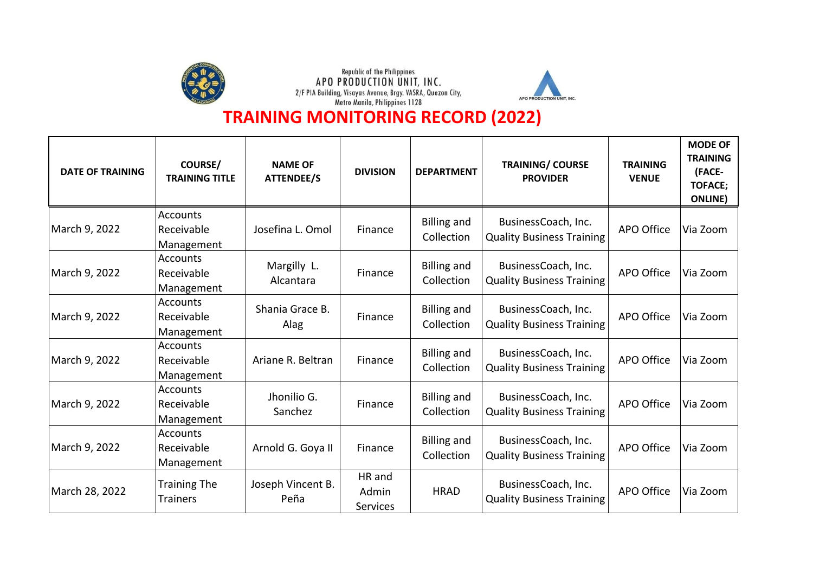





| <b>DATE OF TRAINING</b> | <b>COURSE/</b><br><b>TRAINING TITLE</b>     | <b>NAME OF</b><br><b>ATTENDEE/S</b> | <b>DIVISION</b>                    | <b>DEPARTMENT</b>                | <b>TRAINING/ COURSE</b><br><b>PROVIDER</b>              | <b>TRAINING</b><br><b>VENUE</b> | <b>MODE OF</b><br><b>TRAINING</b><br>(FACE-<br><b>TOFACE;</b><br><b>ONLINE</b> ) |
|-------------------------|---------------------------------------------|-------------------------------------|------------------------------------|----------------------------------|---------------------------------------------------------|---------------------------------|----------------------------------------------------------------------------------|
| March 9, 2022           | <b>Accounts</b><br>Receivable<br>Management | Josefina L. Omol                    | Finance                            | <b>Billing and</b><br>Collection | BusinessCoach, Inc.<br><b>Quality Business Training</b> | APO Office                      | Via Zoom                                                                         |
| March 9, 2022           | <b>Accounts</b><br>Receivable<br>Management | Margilly L.<br>Alcantara            | Finance                            | <b>Billing and</b><br>Collection | BusinessCoach, Inc.<br><b>Quality Business Training</b> | APO Office                      | Via Zoom                                                                         |
| March 9, 2022           | <b>Accounts</b><br>Receivable<br>Management | Shania Grace B.<br>Alag             | Finance                            | <b>Billing and</b><br>Collection | BusinessCoach, Inc.<br><b>Quality Business Training</b> | APO Office                      | Via Zoom                                                                         |
| March 9, 2022           | <b>Accounts</b><br>Receivable<br>Management | Ariane R. Beltran                   | Finance                            | <b>Billing and</b><br>Collection | BusinessCoach, Inc.<br><b>Quality Business Training</b> | <b>APO Office</b>               | Via Zoom                                                                         |
| March 9, 2022           | <b>Accounts</b><br>Receivable<br>Management | Jhonilio G.<br>Sanchez              | Finance                            | <b>Billing and</b><br>Collection | BusinessCoach, Inc.<br><b>Quality Business Training</b> | <b>APO Office</b>               | Via Zoom                                                                         |
| March 9, 2022           | <b>Accounts</b><br>Receivable<br>Management | Arnold G. Goya II                   | Finance                            | <b>Billing and</b><br>Collection | BusinessCoach, Inc.<br><b>Quality Business Training</b> | APO Office                      | Via Zoom                                                                         |
| March 28, 2022          | <b>Training The</b><br><b>Trainers</b>      | Joseph Vincent B.<br>Peña           | HR and<br>Admin<br><b>Services</b> | <b>HRAD</b>                      | BusinessCoach, Inc.<br><b>Quality Business Training</b> | APO Office                      | Via Zoom                                                                         |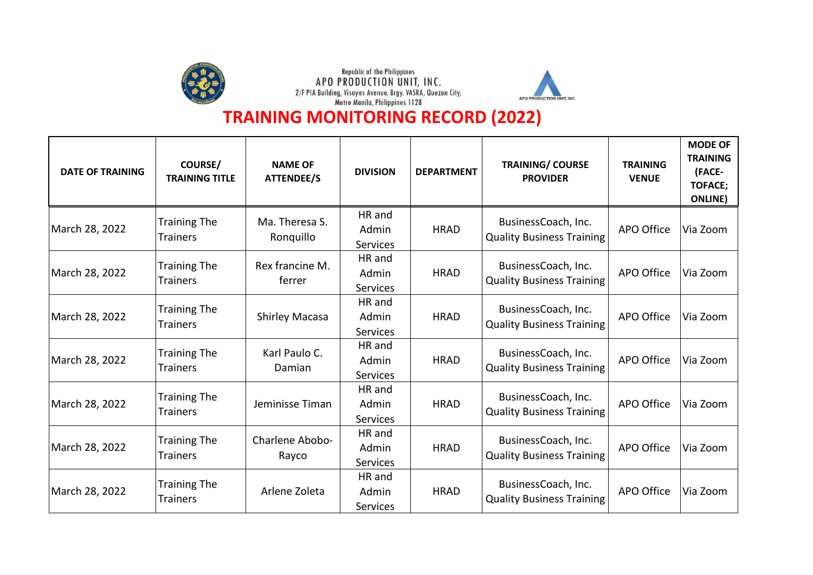





| <b>DATE OF TRAINING</b> | COURSE/<br><b>TRAINING TITLE</b>       | <b>NAME OF</b><br><b>ATTENDEE/S</b> | <b>DIVISION</b>                    | <b>DEPARTMENT</b> | <b>TRAINING/ COURSE</b><br><b>PROVIDER</b>              | <b>TRAINING</b><br><b>VENUE</b> | <b>MODE OF</b><br><b>TRAINING</b><br>(FACE-<br><b>TOFACE;</b><br><b>ONLINE</b> ) |
|-------------------------|----------------------------------------|-------------------------------------|------------------------------------|-------------------|---------------------------------------------------------|---------------------------------|----------------------------------------------------------------------------------|
| March 28, 2022          | <b>Training The</b><br><b>Trainers</b> | Ma. Theresa S.<br>Ronquillo         | HR and<br>Admin<br><b>Services</b> | <b>HRAD</b>       | BusinessCoach, Inc.<br><b>Quality Business Training</b> | APO Office                      | Via Zoom                                                                         |
| March 28, 2022          | <b>Training The</b><br><b>Trainers</b> | Rex francine M.<br>ferrer           | HR and<br>Admin<br><b>Services</b> | <b>HRAD</b>       | BusinessCoach, Inc.<br><b>Quality Business Training</b> | APO Office                      | Via Zoom                                                                         |
| March 28, 2022          | <b>Training The</b><br><b>Trainers</b> | <b>Shirley Macasa</b>               | HR and<br>Admin<br><b>Services</b> | <b>HRAD</b>       | BusinessCoach, Inc.<br><b>Quality Business Training</b> | APO Office                      | Via Zoom                                                                         |
| March 28, 2022          | <b>Training The</b><br><b>Trainers</b> | Karl Paulo C.<br>Damian             | HR and<br>Admin<br><b>Services</b> | <b>HRAD</b>       | BusinessCoach, Inc.<br><b>Quality Business Training</b> | APO Office                      | Via Zoom                                                                         |
| March 28, 2022          | <b>Training The</b><br><b>Trainers</b> | Jeminisse Timan                     | HR and<br>Admin<br><b>Services</b> | <b>HRAD</b>       | BusinessCoach, Inc.<br><b>Quality Business Training</b> | <b>APO Office</b>               | Via Zoom                                                                         |
| March 28, 2022          | <b>Training The</b><br><b>Trainers</b> | Charlene Abobo-<br>Rayco            | HR and<br>Admin<br><b>Services</b> | <b>HRAD</b>       | BusinessCoach, Inc.<br><b>Quality Business Training</b> | APO Office                      | Via Zoom                                                                         |
| March 28, 2022          | <b>Training The</b><br><b>Trainers</b> | Arlene Zoleta                       | HR and<br>Admin<br>Services        | <b>HRAD</b>       | BusinessCoach, Inc.<br><b>Quality Business Training</b> | APO Office                      | Via Zoom                                                                         |